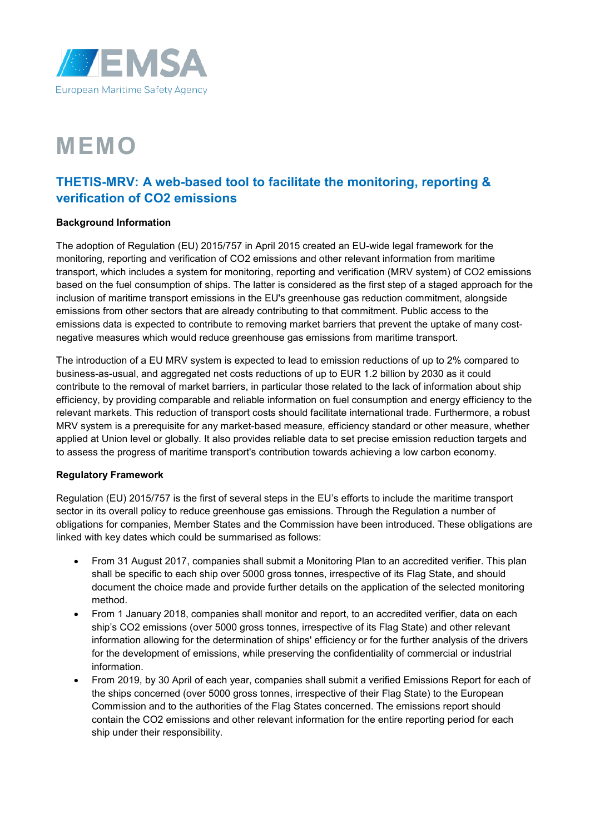

# **MEMO**

# **THETIS-MRV: A web-based tool to facilitate the monitoring, reporting & verification of CO2 emissions**

## **Background Information**

The adoption of Regulation (EU) 2015/757 in April 2015 created an EU-wide legal framework for the monitoring, reporting and verification of CO2 emissions and other relevant information from maritime transport, which includes a system for monitoring, reporting and verification (MRV system) of CO2 emissions based on the fuel consumption of ships. The latter is considered as the first step of a staged approach for the inclusion of maritime transport emissions in the EU's greenhouse gas reduction commitment, alongside emissions from other sectors that are already contributing to that commitment. Public access to the emissions data is expected to contribute to removing market barriers that prevent the uptake of many costnegative measures which would reduce greenhouse gas emissions from maritime transport.

The introduction of a EU MRV system is expected to lead to emission reductions of up to 2% compared to business-as-usual, and aggregated net costs reductions of up to EUR 1.2 billion by 2030 as it could contribute to the removal of market barriers, in particular those related to the lack of information about ship efficiency, by providing comparable and reliable information on fuel consumption and energy efficiency to the relevant markets. This reduction of transport costs should facilitate international trade. Furthermore, a robust MRV system is a prerequisite for any market-based measure, efficiency standard or other measure, whether applied at Union level or globally. It also provides reliable data to set precise emission reduction targets and to assess the progress of maritime transport's contribution towards achieving a low carbon economy.

# **Regulatory Framework**

Regulation (EU) 2015/757 is the first of several steps in the EU's efforts to include the maritime transport sector in its overall policy to reduce greenhouse gas emissions. Through the Regulation a number of obligations for companies, Member States and the Commission have been introduced. These obligations are linked with key dates which could be summarised as follows:

- From 31 August 2017, companies shall submit a Monitoring Plan to an accredited verifier. This plan shall be specific to each ship over 5000 gross tonnes, irrespective of its Flag State, and should document the choice made and provide further details on the application of the selected monitoring method.
- From 1 January 2018, companies shall monitor and report, to an accredited verifier, data on each ship's CO2 emissions (over 5000 gross tonnes, irrespective of its Flag State) and other relevant information allowing for the determination of ships' efficiency or for the further analysis of the drivers for the development of emissions, while preserving the confidentiality of commercial or industrial information.
- From 2019, by 30 April of each year, companies shall submit a verified Emissions Report for each of the ships concerned (over 5000 gross tonnes, irrespective of their Flag State) to the European Commission and to the authorities of the Flag States concerned. The emissions report should contain the CO2 emissions and other relevant information for the entire reporting period for each ship under their responsibility.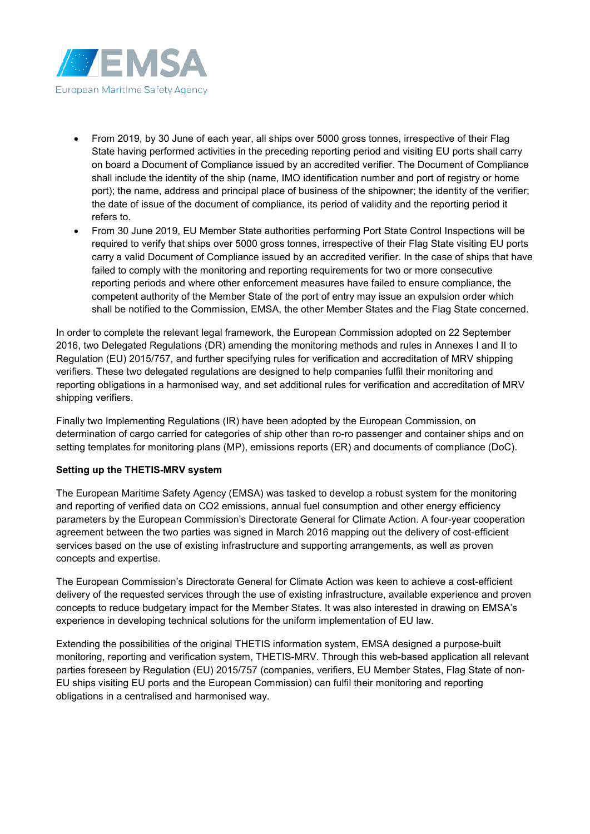

- From 2019, by 30 June of each year, all ships over 5000 gross tonnes, irrespective of their Flag State having performed activities in the preceding reporting period and visiting EU ports shall carry on board a Document of Compliance issued by an accredited verifier. The Document of Compliance shall include the identity of the ship (name, IMO identification number and port of registry or home port); the name, address and principal place of business of the shipowner; the identity of the verifier; the date of issue of the document of compliance, its period of validity and the reporting period it refers to.
- From 30 June 2019, EU Member State authorities performing Port State Control Inspections will be required to verify that ships over 5000 gross tonnes, irrespective of their Flag State visiting EU ports carry a valid Document of Compliance issued by an accredited verifier. In the case of ships that have failed to comply with the monitoring and reporting requirements for two or more consecutive reporting periods and where other enforcement measures have failed to ensure compliance, the competent authority of the Member State of the port of entry may issue an expulsion order which shall be notified to the Commission, EMSA, the other Member States and the Flag State concerned.

In order to complete the relevant legal framework, the European Commission adopted on 22 September 2016, two Delegated Regulations (DR) amending the monitoring methods and rules in Annexes I and II to Regulation (EU) 2015/757, and further specifying rules for verification and accreditation of MRV shipping verifiers. These two delegated regulations are designed to help companies fulfil their monitoring and reporting obligations in a harmonised way, and set additional rules for verification and accreditation of MRV shipping verifiers.

Finally two Implementing Regulations (IR) have been adopted by the European Commission, on determination of cargo carried for categories of ship other than ro-ro passenger and container ships and on setting templates for monitoring plans (MP), emissions reports (ER) and documents of compliance (DoC).

#### **Setting up the THETIS-MRV system**

The European Maritime Safety Agency (EMSA) was tasked to develop a robust system for the monitoring and reporting of verified data on CO2 emissions, annual fuel consumption and other energy efficiency parameters by the European Commission's Directorate General for Climate Action. A four-year cooperation agreement between the two parties was signed in March 2016 mapping out the delivery of cost-efficient services based on the use of existing infrastructure and supporting arrangements, as well as proven concepts and expertise.

The European Commission's Directorate General for Climate Action was keen to achieve a cost-efficient delivery of the requested services through the use of existing infrastructure, available experience and proven concepts to reduce budgetary impact for the Member States. It was also interested in drawing on EMSA's experience in developing technical solutions for the uniform implementation of EU law.

Extending the possibilities of the original THETIS information system, EMSA designed a purpose-built monitoring, reporting and verification system, THETIS-MRV. Through this web-based application all relevant parties foreseen by Regulation (EU) 2015/757 (companies, verifiers, EU Member States, Flag State of non-EU ships visiting EU ports and the European Commission) can fulfil their monitoring and reporting obligations in a centralised and harmonised way.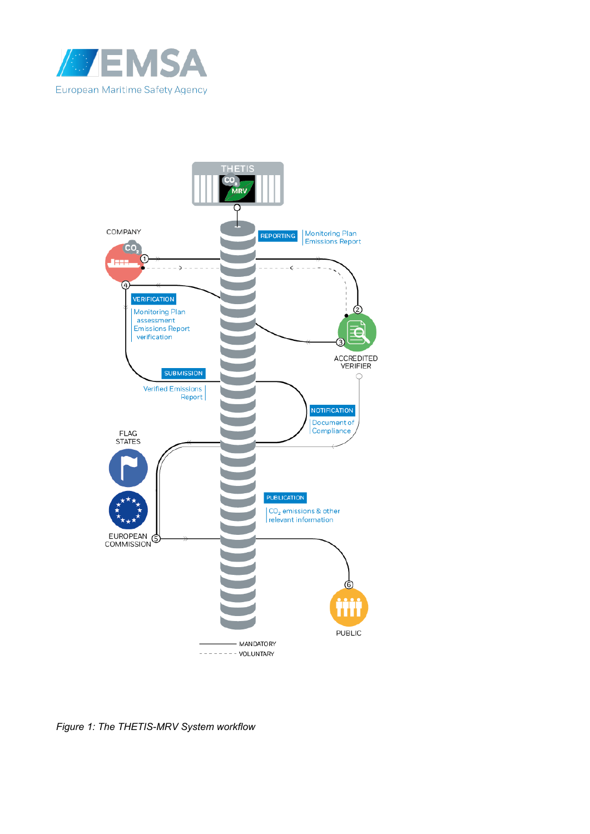



*Figure 1: The THETIS-MRV System workflow*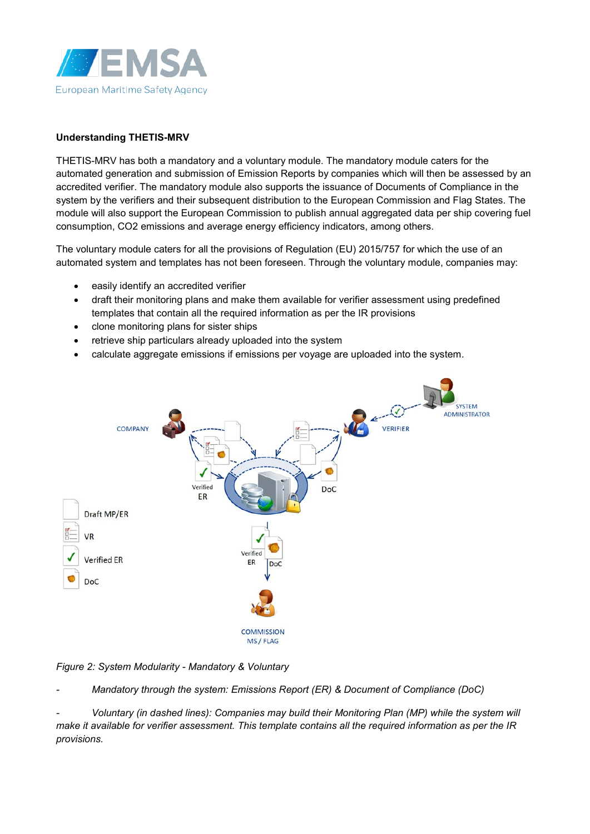

### **Understanding THETIS-MRV**

THETIS-MRV has both a mandatory and a voluntary module. The mandatory module caters for the automated generation and submission of Emission Reports by companies which will then be assessed by an accredited verifier. The mandatory module also supports the issuance of Documents of Compliance in the system by the verifiers and their subsequent distribution to the European Commission and Flag States. The module will also support the European Commission to publish annual aggregated data per ship covering fuel consumption, CO2 emissions and average energy efficiency indicators, among others.

The voluntary module caters for all the provisions of Regulation (EU) 2015/757 for which the use of an automated system and templates has not been foreseen. Through the voluntary module, companies may:

- easily identify an accredited verifier
- draft their monitoring plans and make them available for verifier assessment using predefined templates that contain all the required information as per the IR provisions
- clone monitoring plans for sister ships
- retrieve ship particulars already uploaded into the system
- calculate aggregate emissions if emissions per voyage are uploaded into the system.



*Figure 2: System Modularity - Mandatory & Voluntary*

*- Mandatory through the system: Emissions Report (ER) & Document of Compliance (DoC)*

*- Voluntary (in dashed lines): Companies may build their Monitoring Plan (MP) while the system will make it available for verifier assessment. This template contains all the required information as per the IR provisions.*